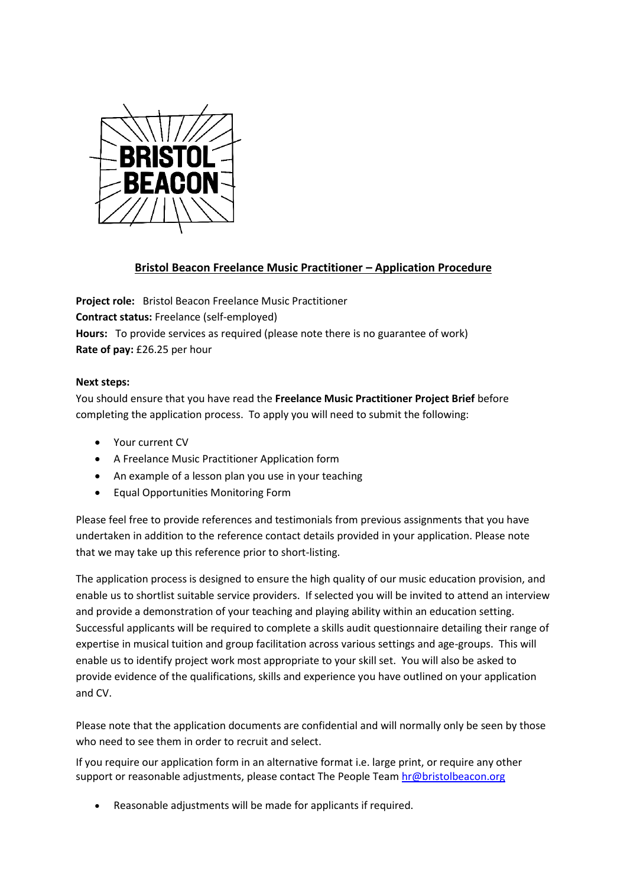

## **Bristol Beacon Freelance Music Practitioner – Application Procedure**

**Project role:** Bristol Beacon Freelance Music Practitioner **Contract status:** Freelance (self-employed) **Hours:** To provide services as required (please note there is no guarantee of work) **Rate of pay:** £26.25 per hour

## **Next steps:**

You should ensure that you have read the **Freelance Music Practitioner Project Brief** before completing the application process. To apply you will need to submit the following:

- Your current CV
- A Freelance Music Practitioner Application form
- An example of a lesson plan you use in your teaching
- Equal Opportunities Monitoring Form

Please feel free to provide references and testimonials from previous assignments that you have undertaken in addition to the reference contact details provided in your application. Please note that we may take up this reference prior to short-listing.

The application process is designed to ensure the high quality of our music education provision, and enable us to shortlist suitable service providers. If selected you will be invited to attend an interview and provide a demonstration of your teaching and playing ability within an education setting. Successful applicants will be required to complete a skills audit questionnaire detailing their range of expertise in musical tuition and group facilitation across various settings and age-groups. This will enable us to identify project work most appropriate to your skill set. You will also be asked to provide evidence of the qualifications, skills and experience you have outlined on your application and CV.

Please note that the application documents are confidential and will normally only be seen by those who need to see them in order to recruit and select.

If you require our application form in an alternative format i.e. large print, or require any other support or reasonable adjustments, please contact The People Team [hr@bristolbeacon.org](mailto:hr@bristolbeacon.org)

• Reasonable adjustments will be made for applicants if required.